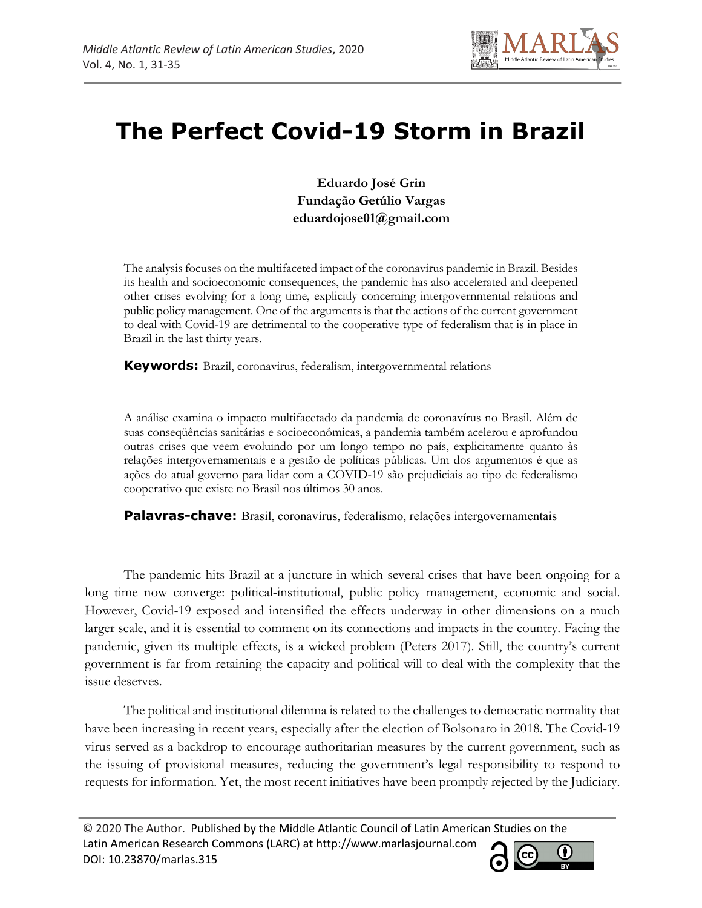

# **The Perfect Covid-19 Storm in Brazil**

**Eduardo José Grin Fundação Getúlio Vargas eduardojose01@gmail.com**

The analysis focuses on the multifaceted impact of the coronavirus pandemic in Brazil. Besides its health and socioeconomic consequences, the pandemic has also accelerated and deepened other crises evolving for a long time, explicitly concerning intergovernmental relations and public policy management. One of the arguments is that the actions of the current government to deal with Covid-19 are detrimental to the cooperative type of federalism that is in place in Brazil in the last thirty years.

**Keywords:** Brazil, coronavirus, federalism, intergovernmental relations

A análise examina o impacto multifacetado da pandemia de coronavírus no Brasil. Além de suas conseqüências sanitárias e socioeconômicas, a pandemia também acelerou e aprofundou outras crises que veem evoluindo por um longo tempo no país, explicitamente quanto às relações intergovernamentais e a gestão de políticas públicas. Um dos argumentos é que as ações do atual governo para lidar com a COVID-19 são prejudiciais ao tipo de federalismo cooperativo que existe no Brasil nos últimos 30 anos.

**Palavras-chave:** Brasil, coronavírus, federalismo, relações intergovernamentais

The pandemic hits Brazil at a juncture in which several crises that have been ongoing for a long time now converge: political-institutional, public policy management, economic and social. However, Covid-19 exposed and intensified the effects underway in other dimensions on a much larger scale, and it is essential to comment on its connections and impacts in the country. Facing the pandemic, given its multiple effects, is a wicked problem (Peters 2017). Still, the country's current government is far from retaining the capacity and political will to deal with the complexity that the issue deserves.

The political and institutional dilemma is related to the challenges to democratic normality that have been increasing in recent years, especially after the election of Bolsonaro in 2018. The Covid-19 virus served as a backdrop to encourage authoritarian measures by the current government, such as the issuing of provisional measures, reducing the government's legal responsibility to respond to requests for information. Yet, the most recent initiatives have been promptly rejected by the Judiciary.

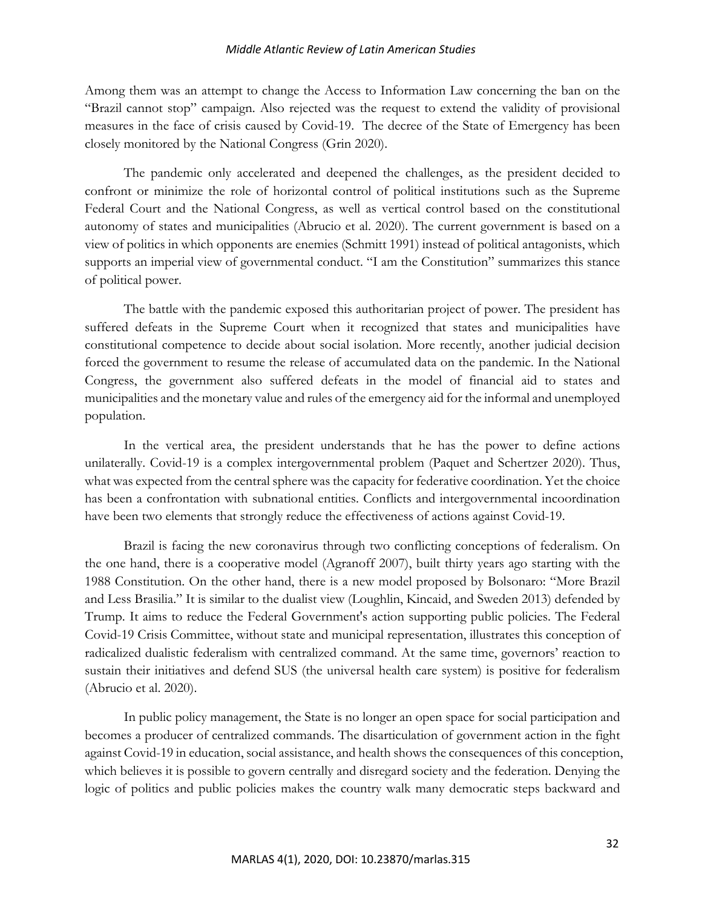#### *Middle Atlantic Review of Latin American Studies*

Among them was an attempt to change the Access to Information Law concerning the ban on the "Brazil cannot stop" campaign. Also rejected was the request to extend the validity of provisional measures in the face of crisis caused by Covid-19. The decree of the State of Emergency has been closely monitored by the National Congress (Grin 2020).

The pandemic only accelerated and deepened the challenges, as the president decided to confront or minimize the role of horizontal control of political institutions such as the Supreme Federal Court and the National Congress, as well as vertical control based on the constitutional autonomy of states and municipalities (Abrucio et al. 2020). The current government is based on a view of politics in which opponents are enemies (Schmitt 1991) instead of political antagonists, which supports an imperial view of governmental conduct. "I am the Constitution" summarizes this stance of political power.

The battle with the pandemic exposed this authoritarian project of power. The president has suffered defeats in the Supreme Court when it recognized that states and municipalities have constitutional competence to decide about social isolation. More recently, another judicial decision forced the government to resume the release of accumulated data on the pandemic. In the National Congress, the government also suffered defeats in the model of financial aid to states and municipalities and the monetary value and rules of the emergency aid for the informal and unemployed population.

In the vertical area, the president understands that he has the power to define actions unilaterally. Covid-19 is a complex intergovernmental problem (Paquet and Schertzer 2020). Thus, what was expected from the central sphere was the capacity for federative coordination. Yet the choice has been a confrontation with subnational entities. Conflicts and intergovernmental incoordination have been two elements that strongly reduce the effectiveness of actions against Covid-19.

Brazil is facing the new coronavirus through two conflicting conceptions of federalism. On the one hand, there is a cooperative model (Agranoff 2007), built thirty years ago starting with the 1988 Constitution. On the other hand, there is a new model proposed by Bolsonaro: "More Brazil and Less Brasilia." It is similar to the dualist view (Loughlin, Kincaid, and Sweden 2013) defended by Trump. It aims to reduce the Federal Government's action supporting public policies. The Federal Covid-19 Crisis Committee, without state and municipal representation, illustrates this conception of radicalized dualistic federalism with centralized command. At the same time, governors' reaction to sustain their initiatives and defend SUS (the universal health care system) is positive for federalism (Abrucio et al. 2020).

In public policy management, the State is no longer an open space for social participation and becomes a producer of centralized commands. The disarticulation of government action in the fight against Covid-19 in education, social assistance, and health shows the consequences of this conception, which believes it is possible to govern centrally and disregard society and the federation. Denying the logic of politics and public policies makes the country walk many democratic steps backward and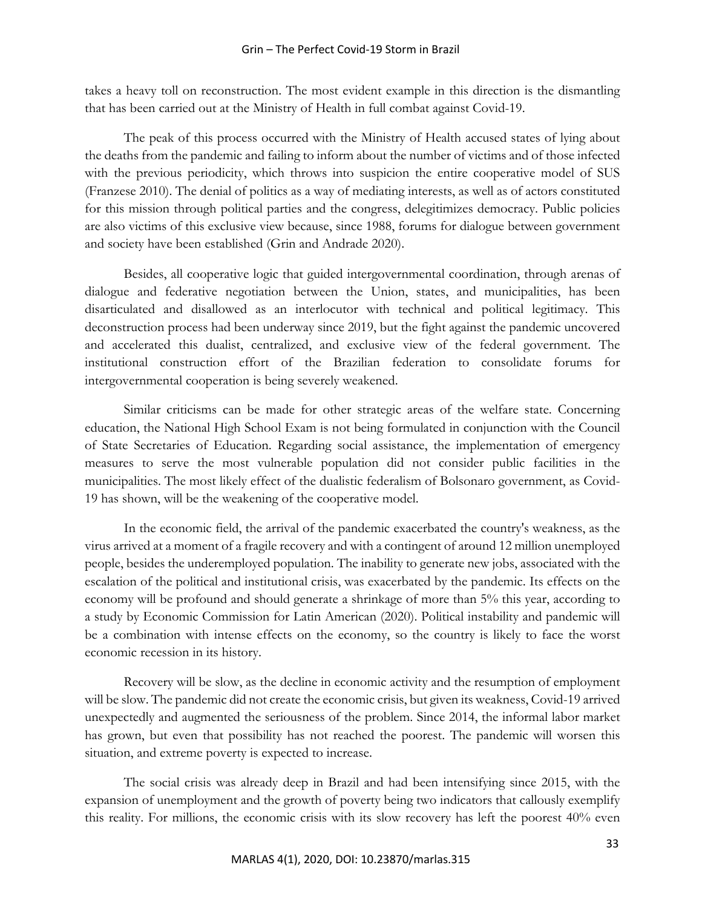takes a heavy toll on reconstruction. The most evident example in this direction is the dismantling that has been carried out at the Ministry of Health in full combat against Covid-19.

The peak of this process occurred with the Ministry of Health accused states of lying about the deaths from the pandemic and failing to inform about the number of victims and of those infected with the previous periodicity, which throws into suspicion the entire cooperative model of SUS (Franzese 2010). The denial of politics as a way of mediating interests, as well as of actors constituted for this mission through political parties and the congress, delegitimizes democracy. Public policies are also victims of this exclusive view because, since 1988, forums for dialogue between government and society have been established (Grin and Andrade 2020).

Besides, all cooperative logic that guided intergovernmental coordination, through arenas of dialogue and federative negotiation between the Union, states, and municipalities, has been disarticulated and disallowed as an interlocutor with technical and political legitimacy. This deconstruction process had been underway since 2019, but the fight against the pandemic uncovered and accelerated this dualist, centralized, and exclusive view of the federal government. The institutional construction effort of the Brazilian federation to consolidate forums for intergovernmental cooperation is being severely weakened.

Similar criticisms can be made for other strategic areas of the welfare state. Concerning education, the National High School Exam is not being formulated in conjunction with the Council of State Secretaries of Education. Regarding social assistance, the implementation of emergency measures to serve the most vulnerable population did not consider public facilities in the municipalities. The most likely effect of the dualistic federalism of Bolsonaro government, as Covid-19 has shown, will be the weakening of the cooperative model.

In the economic field, the arrival of the pandemic exacerbated the country's weakness, as the virus arrived at a moment of a fragile recovery and with a contingent of around 12 million unemployed people, besides the underemployed population. The inability to generate new jobs, associated with the escalation of the political and institutional crisis, was exacerbated by the pandemic. Its effects on the economy will be profound and should generate a shrinkage of more than 5% this year, according to a study by Economic Commission for Latin American (2020). Political instability and pandemic will be a combination with intense effects on the economy, so the country is likely to face the worst economic recession in its history.

Recovery will be slow, as the decline in economic activity and the resumption of employment will be slow. The pandemic did not create the economic crisis, but given its weakness, Covid-19 arrived unexpectedly and augmented the seriousness of the problem. Since 2014, the informal labor market has grown, but even that possibility has not reached the poorest. The pandemic will worsen this situation, and extreme poverty is expected to increase.

The social crisis was already deep in Brazil and had been intensifying since 2015, with the expansion of unemployment and the growth of poverty being two indicators that callously exemplify this reality. For millions, the economic crisis with its slow recovery has left the poorest 40% even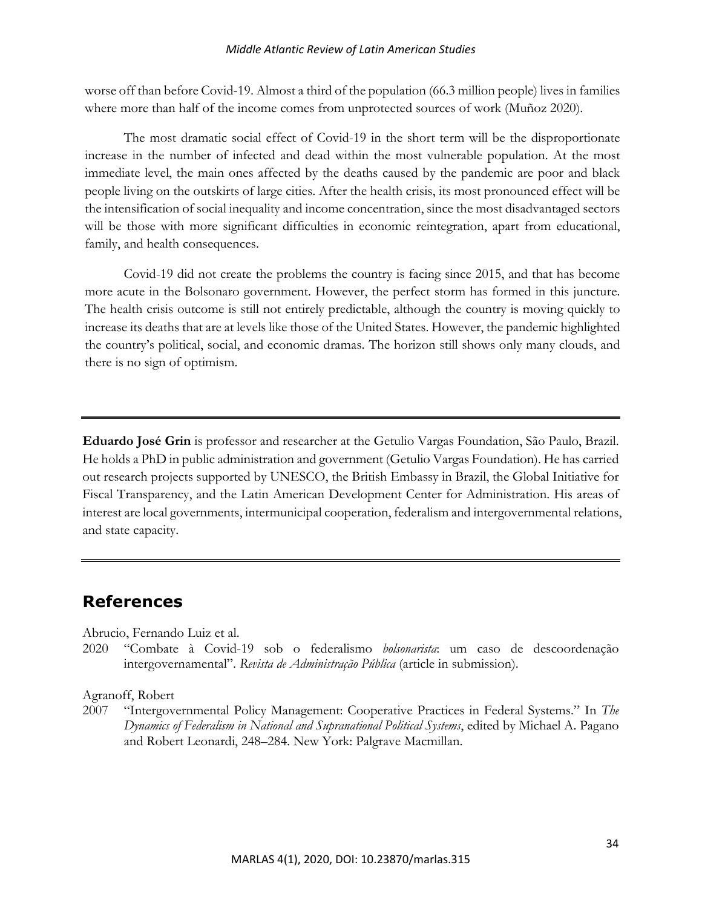#### *Middle Atlantic Review of Latin American Studies*

worse off than before Covid-19. Almost a third of the population (66.3 million people) lives in families where more than half of the income comes from unprotected sources of work (Muñoz 2020).

The most dramatic social effect of Covid-19 in the short term will be the disproportionate increase in the number of infected and dead within the most vulnerable population. At the most immediate level, the main ones affected by the deaths caused by the pandemic are poor and black people living on the outskirts of large cities. After the health crisis, its most pronounced effect will be the intensification of social inequality and income concentration, since the most disadvantaged sectors will be those with more significant difficulties in economic reintegration, apart from educational, family, and health consequences.

Covid-19 did not create the problems the country is facing since 2015, and that has become more acute in the Bolsonaro government. However, the perfect storm has formed in this juncture. The health crisis outcome is still not entirely predictable, although the country is moving quickly to increase its deaths that are at levels like those of the United States. However, the pandemic highlighted the country's political, social, and economic dramas. The horizon still shows only many clouds, and there is no sign of optimism.

**Eduardo José Grin** is professor and researcher at the Getulio Vargas Foundation, São Paulo, Brazil. He holds a PhD in public administration and government (Getulio Vargas Foundation). He has carried out research projects supported by UNESCO, the British Embassy in Brazil, the Global Initiative for Fiscal Transparency, and the Latin American Development Center for Administration. His areas of interest are local governments, intermunicipal cooperation, federalism and intergovernmental relations, and state capacity.

# **References**

Abrucio, Fernando Luiz et al.

2020 "Combate à Covid-19 sob o federalismo *bolsonarista*: um caso de descoordenação intergovernamental". *Revista de Administração Pública* (article in submission).

Agranoff, Robert

2007 "Intergovernmental Policy Management: Cooperative Practices in Federal Systems." In *The Dynamics of Federalism in National and Supranational Political Systems*, edited by Michael A. Pagano and Robert Leonardi, 248–284. New York: Palgrave Macmillan.